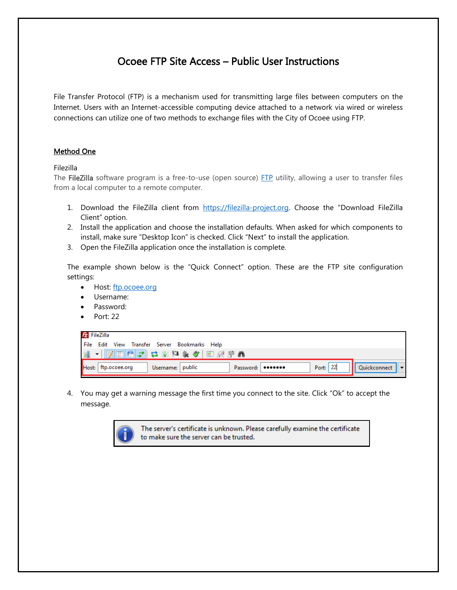## Ocoee FTP Site Access – Public User Instructions

File Transfer Protocol (FTP) is a mechanism used for transmitting large files between computers on the Internet. Users with an Internet-accessible computing device attached to a network via wired or wireless connections can utilize one of two methods to exchange files with the City of Ocoee using FTP.

## Method One

Filezilla

The FileZilla software program is a free-to-use (open source) [FTP](http://www.computerhope.com/jargon/f/ftp.htm) utility, allowing a user to transfer files from a local computer to a remote computer.

- 1. Download the FileZilla client from [https://filezilla-project.org.](https://filezilla-project.org/) Choose the "Download FileZilla Client" option.
- 2. Install the application and choose the installation defaults. When asked for which components to install, make sure "Desktop Icon" is checked. Click "Next" to install the application.
- 3. Open the FileZilla application once the installation is complete.

The example shown below is the "Quick Connect" option. These are the FTP site configuration settings:

- Host: [ftp.ocoee.org](ftp://ftp.ocoee.org/)
- Username:
- Password:
- Port: 22

| <b>Z</b> FileZilla |                     |                                               |                     |          |  |                  |  |  |  |
|--------------------|---------------------|-----------------------------------------------|---------------------|----------|--|------------------|--|--|--|
|                    |                     | File Edit View Transfer Server Bookmarks Help |                     |          |  |                  |  |  |  |
|                    |                     | 連・   別田信才  さ坂神永々  田沢序あ                        |                     |          |  |                  |  |  |  |
|                    | Host: ftp.ocoee.org | Username: public                              | Password:   ******* | Port: 22 |  | Quickconnect   v |  |  |  |

4. You may get a warning message the first time you connect to the site. Click "Ok" to accept the message.



The server's certificate is unknown. Please carefully examine the certificate to make sure the server can be trusted.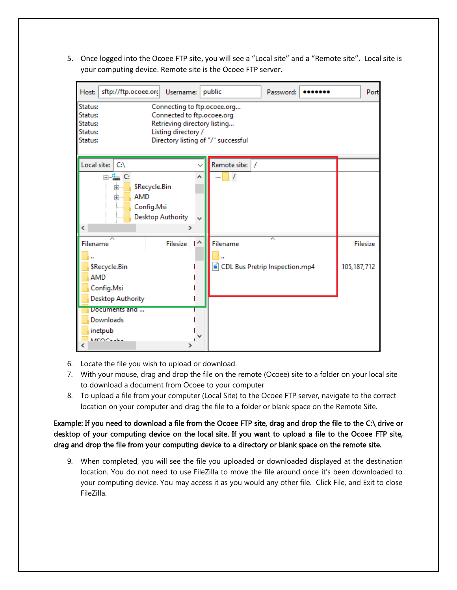5. Once logged into the Ocoee FTP site, you will see a "Local site" and a "Remote site". Local site is your computing device. Remote site is the Ocoee FTP server.

| sftp://ftp.ocoee.org<br>Host:<br>Username:                                                                                                                                                                     | public                         | Password: |  |               | Port     |  |  |  |
|----------------------------------------------------------------------------------------------------------------------------------------------------------------------------------------------------------------|--------------------------------|-----------|--|---------------|----------|--|--|--|
| Status:<br>Connecting to ftp.ocoee.org<br>Connected to ftp.ocoee.org<br>Status:<br>Retrieving directory listing<br>Status:<br>Listing directory /<br>Status:<br>Directory listing of "/" successful<br>Status: |                                |           |  |               |          |  |  |  |
| Local site:<br>C <sub>i</sub>                                                                                                                                                                                  | Remote site:                   |           |  |               |          |  |  |  |
| 温 C:<br>į<br>\$Recycle.Bin<br><b>AMD</b><br>Ė⊢<br>Config.Msi<br><u>:</u><br><b>Desktop Authority</b><br>∢<br>≯                                                                                                 |                                |           |  |               |          |  |  |  |
| Filesize   ^<br>Filename                                                                                                                                                                                       | Filename                       |           |  |               | Filesize |  |  |  |
| <b>SRecycle.Bin</b><br><b>AMD</b><br>Config.Msi<br><b>Desktop Authority</b>                                                                                                                                    | CDL Bus Pretrip Inspection.mp4 |           |  | 105, 187, 712 |          |  |  |  |
| Documents and<br>Downloads<br>inetpub<br>MACOC-LL-                                                                                                                                                             |                                |           |  |               |          |  |  |  |

- 6. Locate the file you wish to upload or download.
- 7. With your mouse, drag and drop the file on the remote (Ocoee) site to a folder on your local site to download a document from Ocoee to your computer
- 8. To upload a file from your computer (Local Site) to the Ocoee FTP server, navigate to the correct location on your computer and drag the file to a folder or blank space on the Remote Site.

Example: If you need to download a file from the Ocoee FTP site, drag and drop the file to the C:\ drive or desktop of your computing device on the local site. If you want to upload a file to the Ocoee FTP site, drag and drop the file from your computing device to a directory or blank space on the remote site.

9. When completed, you will see the file you uploaded or downloaded displayed at the destination location. You do not need to use FileZilla to move the file around once it's been downloaded to your computing device. You may access it as you would any other file. Click File, and Exit to close FileZilla.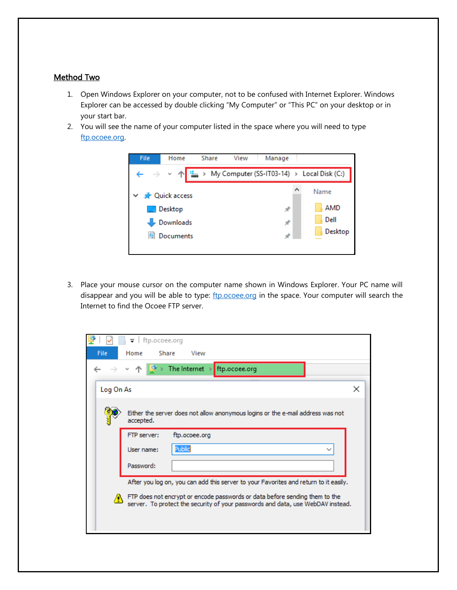## Method Two

- 1. Open Windows Explorer on your computer, not to be confused with Internet Explorer. Windows Explorer can be accessed by double clicking "My Computer" or "This PC" on your desktop or in your start bar.
- 2. You will see the name of your computer listed in the space where you will need to type [ftp.ocoee.org.](ftp://ftp.ocoee.org/)



3. Place your mouse cursor on the computer name shown in Windows Explorer. Your PC name will disappear and you will be able to type: [ftp.ocoee.org](ftp://ftp.ocoee.org/) in the space. Your computer will search the Internet to find the Ocoee FTP server.

|                                                                                      | $\overline{\bullet}$   ftp.ocoee.org                                                                                                                        |   |  |
|--------------------------------------------------------------------------------------|-------------------------------------------------------------------------------------------------------------------------------------------------------------|---|--|
| File                                                                                 | Home<br>Share<br>View                                                                                                                                       |   |  |
|                                                                                      | > The Internet > ftp.ocoee.org<br>$\rightarrow$ $\sim$ $\uparrow$                                                                                           |   |  |
| Log On As                                                                            |                                                                                                                                                             | × |  |
|                                                                                      | Either the server does not allow anonymous logins or the e-mail address was not<br>accepted.                                                                |   |  |
|                                                                                      | FTP server:<br>ftp.ocoee.org                                                                                                                                |   |  |
|                                                                                      | Public<br>User name:                                                                                                                                        |   |  |
|                                                                                      | Password:                                                                                                                                                   |   |  |
| After you log on, you can add this server to your Favorites and return to it easily. |                                                                                                                                                             |   |  |
|                                                                                      | FTP does not encrypt or encode passwords or data before sending them to the server. To protect the security of your passwords and data, use WebDAV instead. |   |  |